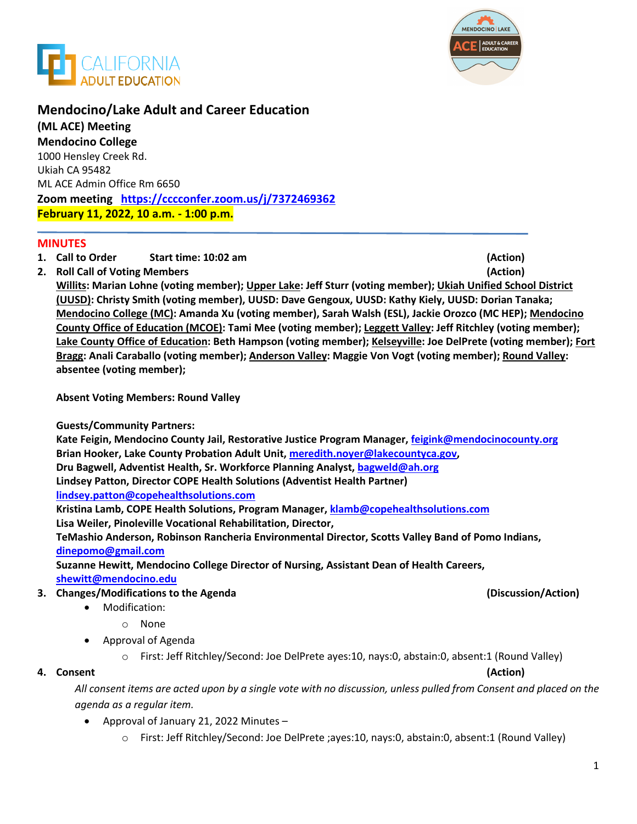



# **Mendocino/Lake Adult and Career Education**

**(ML ACE) Meeting Mendocino College**  1000 Hensley Creek Rd. Ukiah CA 95482 ML ACE Admin Office Rm 6650 **Zoom meeting <https://cccconfer.zoom.us/j/7372469362> February 11, 2022, 10 a.m. - 1:00 p.m.**

## **MINUTES**

- **1. Call to Order Start time: 10:02 am (Action)**
- **2. Roll Call of Voting Members (Action)**

**Willits: Marian Lohne (voting member); Upper Lake: Jeff Sturr (voting member); Ukiah Unified School District (UUSD): Christy Smith (voting member), UUSD: Dave Gengoux, UUSD: Kathy Kiely, UUSD: Dorian Tanaka; Mendocino College (MC): Amanda Xu (voting member), Sarah Walsh (ESL), Jackie Orozco (MC HEP); Mendocino County Office of Education (MCOE): Tami Mee (voting member); Leggett Valley: Jeff Ritchley (voting member); Lake County Office of Education: Beth Hampson (voting member); Kelseyville: Joe DelPrete (voting member); Fort Bragg: Anali Caraballo (voting member); Anderson Valley: Maggie Von Vogt (voting member); Round Valley: absentee (voting member);** 

**Absent Voting Members: Round Valley**

**Guests/Community Partners:** 

**Kate Feigin, Mendocino County Jail, Restorative Justice Program Manager, feigink@mendocinocounty.org Brian Hooker, Lake County Probation Adult Unit, [meredith.noyer@lakecountyca.gov,](mailto:meredith.noyer@lakecountyca.gov) Dru Bagwell, Adventist Health, Sr. Workforce Planning Analyst[, bagweld@ah.org](mailto:bagweld@ah.org) Lindsey Patton, Director COPE Health Solutions (Adventist Health Partner) lindsey.patton@copehealthsolutions.com**

**Kristina Lamb, COPE Health Solutions, Program Manager, klamb@copehealthsolutions.com Lisa Weiler, Pinoleville Vocational Rehabilitation, Director,** 

**TeMashio Anderson, Robinson Rancheria Environmental Director, Scotts Valley Band of Pomo Indians, dinepomo@gmail.com** 

**Suzanne Hewitt, Mendocino College Director of Nursing, Assistant Dean of Health Careers, [shewitt@mendocino.edu](mailto:shewitt@mendocino.edu)** 

## **3. Changes/Modifications to the Agenda (Discussion/Action)**

- Modification:
	- o None
- Approval of Agenda
	- o First: Jeff Ritchley/Second: Joe DelPrete ayes:10, nays:0, abstain:0, absent:1 (Round Valley)

## **4. Consent (Action)**

*All consent items are acted upon by a single vote with no discussion, unless pulled from Consent and placed on the agenda as a regular item.* 

- Approval of January 21, 2022 Minutes
	- o First: Jeff Ritchley/Second: Joe DelPrete ;ayes:10, nays:0, abstain:0, absent:1 (Round Valley)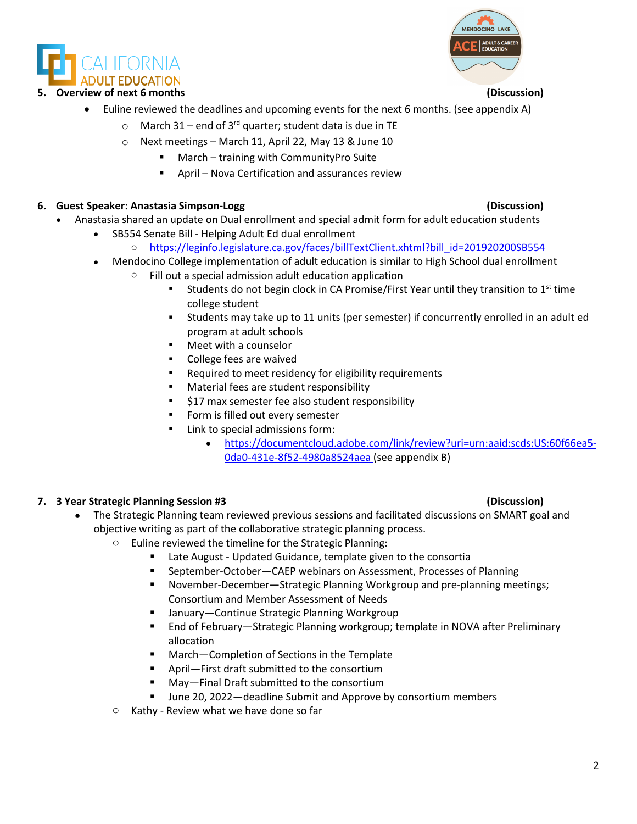DULT EDUCATION

# **5. Overview of next 6 months (Discussion)**

- Euline reviewed the deadlines and upcoming events for the next 6 months. (see appendix A)
	- $\circ$  March 31 end of 3<sup>rd</sup> quarter; student data is due in TE
	- o Next meetings March 11, April 22, May 13 & June 10
		- March training with CommunityPro Suite
		- April Nova Certification and assurances review

# **6. Guest Speaker: Anastasia Simpson-Logg (Discussion)**

- Anastasia shared an update on Dual enrollment and special admit form for adult education students
	- SB554 Senate Bill Helping Adult Ed dual enrollment
		- o [https://leginfo.legislature.ca.gov/faces/billTextClient.xhtml?bill\\_id=201920200SB554](https://leginfo.legislature.ca.gov/faces/billTextClient.xhtml?bill_id=201920200SB554)
		- Mendocino College implementation of adult education is similar to High School dual enrollment
			- $\circ$  Fill out a special admission adult education application
				- Students do not begin clock in CA Promise/First Year until they transition to  $1<sup>st</sup>$  time college student
				- Students may take up to 11 units (per semester) if concurrently enrolled in an adult ed program at adult schools
				- Meet with a counselor
				- **•** College fees are waived
				- **EXECUTE:** Required to meet residency for eligibility requirements
				- **•** Material fees are student responsibility
				- **517 max semester fee also student responsibility**
				- **Form is filled out every semester**
				- Link to special admissions form:
					- [https://documentcloud.adobe.com/link/review?uri=urn:aaid:scds:US:60f66ea5-](https://documentcloud.adobe.com/link/review?uri=urn:aaid:scds:US:60f66ea5-0da0-431e-8f52-4980a8524aea) [0da0-431e-8f52-4980a8524aea](https://documentcloud.adobe.com/link/review?uri=urn:aaid:scds:US:60f66ea5-0da0-431e-8f52-4980a8524aea) (see appendix B)

# **7. 3 Year Strategic Planning Session #3 (Discussion)**

- The Strategic Planning team reviewed previous sessions and facilitated discussions on SMART goal and objective writing as part of the collaborative strategic planning process.
	- o Euline reviewed the timeline for the Strategic Planning:
		- Late August Updated Guidance, template given to the consortia
		- September-October-CAEP webinars on Assessment, Processes of Planning
		- November-December—Strategic Planning Workgroup and pre-planning meetings; Consortium and Member Assessment of Needs
		- January–Continue Strategic Planning Workgroup
		- End of February—Strategic Planning workgroup; template in NOVA after Preliminary allocation
		- March-Completion of Sections in the Template
		- April—First draft submitted to the consortium
		- May—Final Draft submitted to the consortium
		- June 20, 2022—deadline Submit and Approve by consortium members
	- o Kathy Review what we have done so far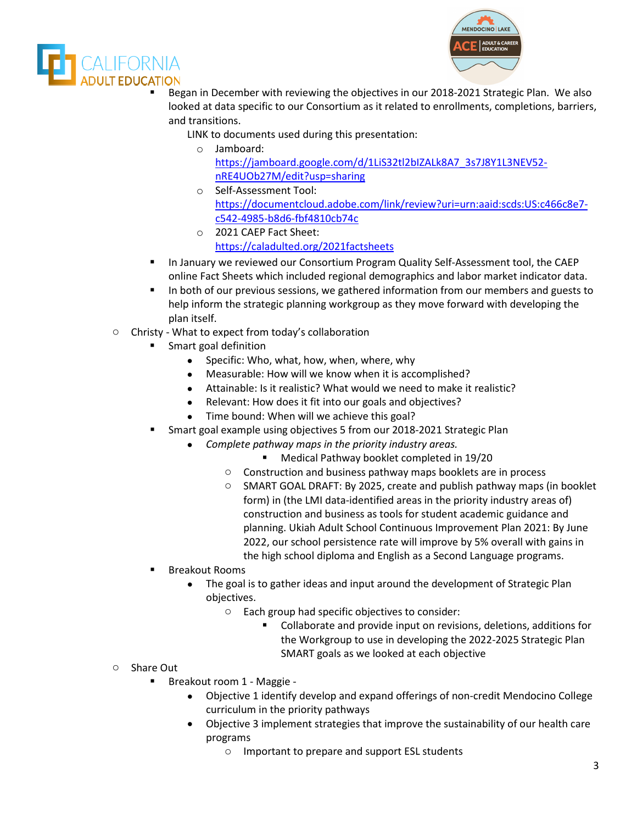



- Began in December with reviewing the objectives in our 2018-2021 Strategic Plan. We also looked at data specific to our Consortium as it related to enrollments, completions, barriers, and transitions.
	- LINK to documents used during this presentation:
		- o Jamboard: [https://jamboard.google.com/d/1LiS32tl2bIZALk8A7\\_3s7J8Y1L3NEV52](https://jamboard.google.com/d/1LiS32tl2bIZALk8A7_3s7J8Y1L3NEV52-nRE4UOb27M/edit?usp=sharing) [nRE4UOb27M/edit?usp=sharing](https://jamboard.google.com/d/1LiS32tl2bIZALk8A7_3s7J8Y1L3NEV52-nRE4UOb27M/edit?usp=sharing)
		- o Self-Assessment Tool: [https://documentcloud.adobe.com/link/review?uri=urn:aaid:scds:US:c466c8e7](https://documentcloud.adobe.com/link/review?uri=urn:aaid:scds:US:c466c8e7-c542-4985-b8d6-fbf4810cb74c) [c542-4985-b8d6-fbf4810cb74c](https://documentcloud.adobe.com/link/review?uri=urn:aaid:scds:US:c466c8e7-c542-4985-b8d6-fbf4810cb74c)
		- o 2021 CAEP Fact Sheet: <https://caladulted.org/2021factsheets>
- In January we reviewed our Consortium Program Quality Self-Assessment tool, the CAEP online Fact Sheets which included regional demographics and labor market indicator data.
- In both of our previous sessions, we gathered information from our members and guests to help inform the strategic planning workgroup as they move forward with developing the plan itself.
- o Christy What to expect from today's collaboration
	- Smart goal definition
		- Specific: Who, what, how, when, where, why
		- Measurable: How will we know when it is accomplished?
		- Attainable: Is it realistic? What would we need to make it realistic?
		- Relevant: How does it fit into our goals and objectives?
		- Time bound: When will we achieve this goal?
	- Smart goal example using objectives 5 from our 2018-2021 Strategic Plan
		- *Complete pathway maps in the priority industry areas.*
			- **Medical Pathway booklet completed in 19/20**
			- o Construction and business pathway maps booklets are in process
			- o SMART GOAL DRAFT: By 2025, create and publish pathway maps (in booklet form) in (the LMI data-identified areas in the priority industry areas of) construction and business as tools for student academic guidance and planning. Ukiah Adult School Continuous Improvement Plan 2021: By June 2022, our school persistence rate will improve by 5% overall with gains in the high school diploma and English as a Second Language programs.
	- Breakout Rooms
		- The goal is to gather ideas and input around the development of Strategic Plan objectives.
			- o Each group had specific objectives to consider:
				- Collaborate and provide input on revisions, deletions, additions for the Workgroup to use in developing the 2022-2025 Strategic Plan SMART goals as we looked at each objective
- o Share Out
	- Breakout room 1 Maggie
		- Objective 1 identify develop and expand offerings of non-credit Mendocino College curriculum in the priority pathways
		- Objective 3 implement strategies that improve the sustainability of our health care programs
			- o Important to prepare and support ESL students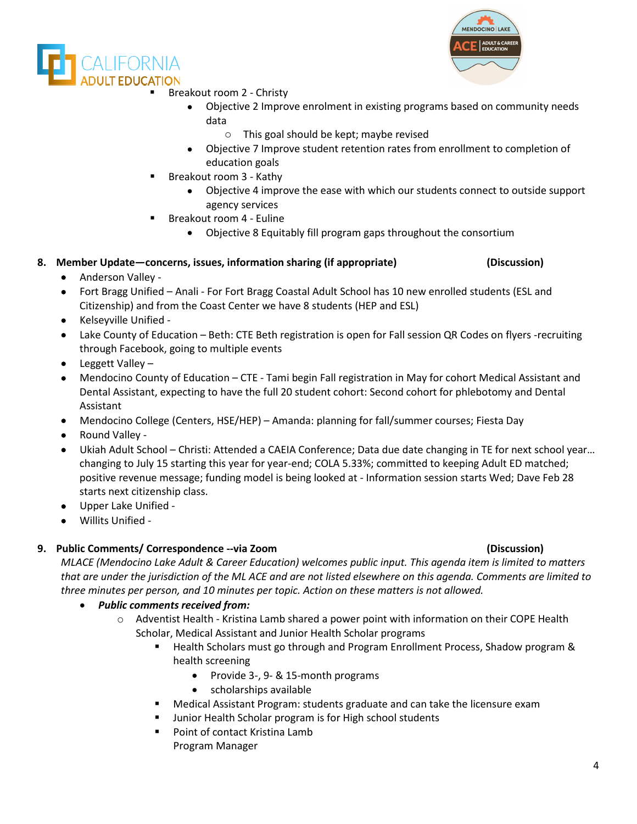



- Breakout room 2 Christy
	- Objective 2 Improve enrolment in existing programs based on community needs data
		- o This goal should be kept; maybe revised
	- Objective 7 Improve student retention rates from enrollment to completion of education goals
- Breakout room 3 Kathy
	- Objective 4 improve the ease with which our students connect to outside support agency services
- Breakout room 4 Euline
	- Objective 8 Equitably fill program gaps throughout the consortium

# **8. Member Update—concerns, issues, information sharing (if appropriate) (Discussion)**

- Anderson Valley -
- Fort Bragg Unified Anali For Fort Bragg Coastal Adult School has 10 new enrolled students (ESL and Citizenship) and from the Coast Center we have 8 students (HEP and ESL)
- Kelseyville Unified -
- Lake County of Education Beth: CTE Beth registration is open for Fall session QR Codes on flyers -recruiting through Facebook, going to multiple events
- Leggett Valley –
- Mendocino County of Education CTE Tami begin Fall registration in May for cohort Medical Assistant and Dental Assistant, expecting to have the full 20 student cohort: Second cohort for phlebotomy and Dental Assistant
- Mendocino College (Centers, HSE/HEP) Amanda: planning for fall/summer courses; Fiesta Day
- Round Valley -
- Ukiah Adult School Christi: Attended a CAEIA Conference; Data due date changing in TE for next school year… changing to July 15 starting this year for year-end; COLA 5.33%; committed to keeping Adult ED matched; positive revenue message; funding model is being looked at - Information session starts Wed; Dave Feb 28 starts next citizenship class.
- Upper Lake Unified -
- Willits Unified -

## **9. Public Comments/ Correspondence --via Zoom (Discussion)**

*MLACE (Mendocino Lake Adult & Career Education) welcomes public input. This agenda item is limited to matters that are under the jurisdiction of the ML ACE and are not listed elsewhere on this agenda. Comments are limited to three minutes per person, and 10 minutes per topic. Action on these matters is not allowed.*

- *Public comments received from:* 
	- o Adventist Health Kristina Lamb shared a power point with information on their COPE Health Scholar, Medical Assistant and Junior Health Scholar programs
		- Health Scholars must go through and Program Enrollment Process, Shadow program & health screening
			- Provide 3-, 9- & 15-month programs
			- scholarships available
		- Medical Assistant Program: students graduate and can take the licensure exam
		- Junior Health Scholar program is for High school students
		- Point of contact Kristina Lamb
			- Program Manager